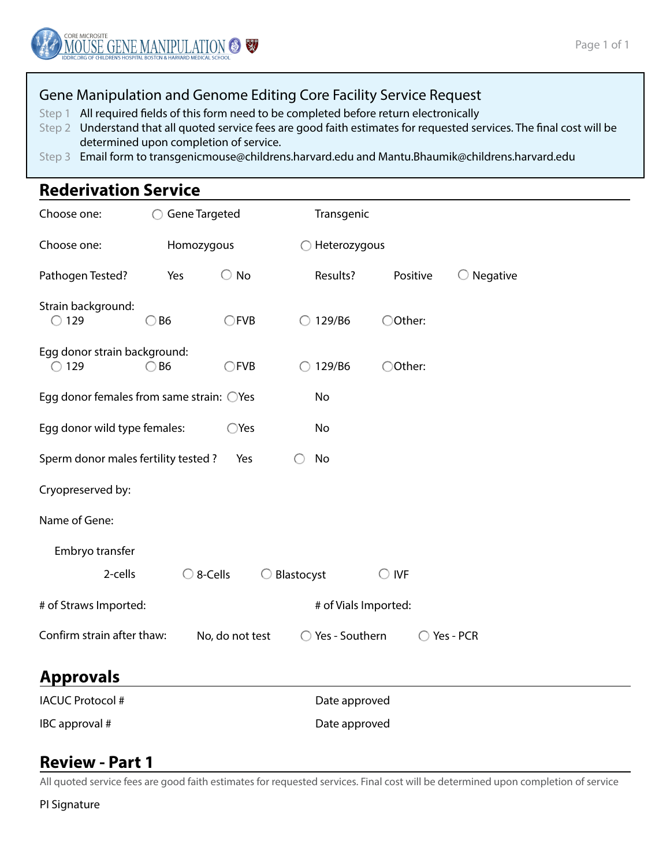

### Gene Manipulation and Genome Editing Core Facility Service Request

Step 1 All required fields of this form need to be completed before return electronically

- Step 2 Understand that all quoted service fees are good faith estimates for requested services. The final cost will be determined upon completion of service.
- Step 3 Email form to transgenicmouse@childrens.harvard.edu and Mantu.Bhaumik@childrens.harvard.edu

# **Rederivation Service**

| Choose one:                                              | Gene Targeted      |                 |                              | Transgenic      |                     |  |  |  |  |  |
|----------------------------------------------------------|--------------------|-----------------|------------------------------|-----------------|---------------------|--|--|--|--|--|
| Choose one:                                              | Homozygous         |                 | Heterozygous                 |                 |                     |  |  |  |  |  |
| Pathogen Tested?                                         | Yes                | $\bigcirc$ No   | Results?                     | Positive        | $\bigcirc$ Negative |  |  |  |  |  |
| Strain background:<br>$\bigcirc$ 129                     | $\bigcirc$ B6      | CFVB            | $\bigcirc$ 129/B6            | ○Other:         |                     |  |  |  |  |  |
| Egg donor strain background:<br>129                      | $\bigcirc$ B6      | $\bigcirc$ FVB  | 129/B6<br>◯                  | ○Other:         |                     |  |  |  |  |  |
| Egg donor females from same strain: $\bigcirc$ Yes<br>No |                    |                 |                              |                 |                     |  |  |  |  |  |
| Egg donor wild type females:<br>No<br>$\bigcirc$ Yes     |                    |                 |                              |                 |                     |  |  |  |  |  |
| Sperm donor males fertility tested?<br>No<br>Yes         |                    |                 |                              |                 |                     |  |  |  |  |  |
| Cryopreserved by:                                        |                    |                 |                              |                 |                     |  |  |  |  |  |
| Name of Gene:                                            |                    |                 |                              |                 |                     |  |  |  |  |  |
| Embryo transfer                                          |                    |                 |                              |                 |                     |  |  |  |  |  |
| 2-cells                                                  | $\bigcirc$ 8-Cells | O               | Blastocyst                   | <b>IVF</b><br>О |                     |  |  |  |  |  |
| # of Straws Imported:<br># of Vials Imported:            |                    |                 |                              |                 |                     |  |  |  |  |  |
| Confirm strain after thaw:                               |                    | No, do not test | Yes - Southern<br>$\bigcirc$ |                 | ◯ Yes - PCR         |  |  |  |  |  |
| <b>Approvals</b>                                         |                    |                 |                              |                 |                     |  |  |  |  |  |
| <b>IACUC Protocol #</b>                                  | Date approved      |                 |                              |                 |                     |  |  |  |  |  |
| IBC approval #<br>Date approved                          |                    |                 |                              |                 |                     |  |  |  |  |  |

### **Review - Part 1**

All quoted service fees are good faith estimates for requested services. Final cost will be determined upon completion of service

PI Signature